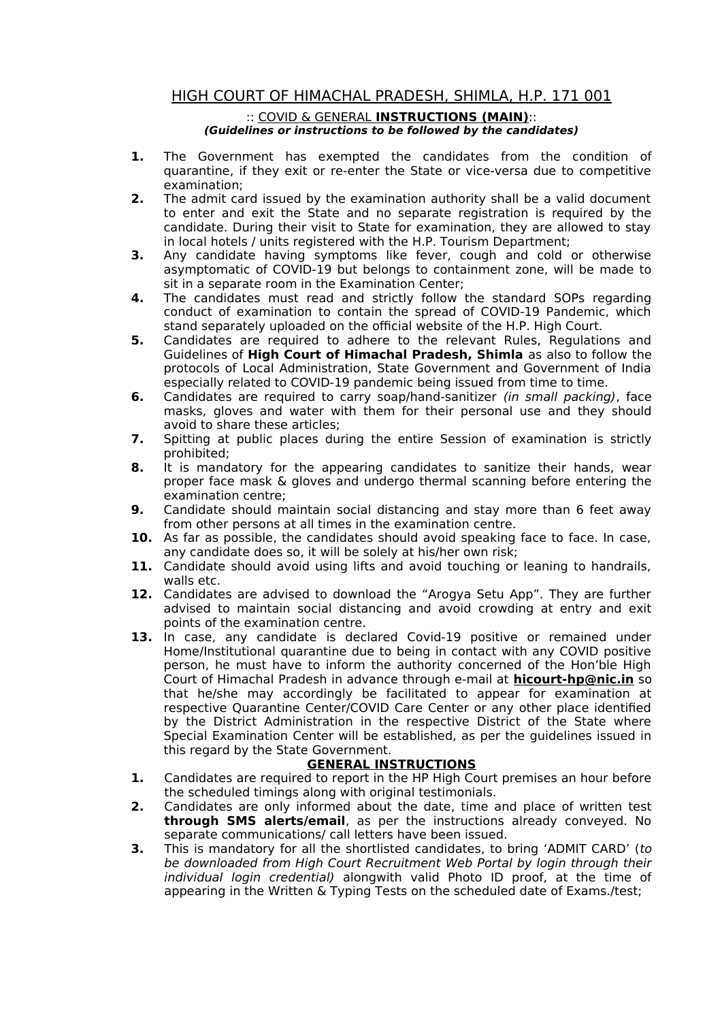## HIGH COURT OF HIMACHAL PRADESH, SHIMLA, H.P. 171 001

## :: COVID & GENERAL **INSTRUCTIONS (MAIN)**:: **(Guidelines or instructions to be followed by the candidates)**

- **1.** The Government has exempted the candidates from the condition of quarantine, if they exit or re-enter the State or vice-versa due to competitive examination;
- **2.** The admit card issued by the examination authority shall be a valid document to enter and exit the State and no separate registration is required by the candidate. During their visit to State for examination, they are allowed to stay in local hotels / units registered with the H.P. Tourism Department;
- **3.** Any candidate having symptoms like fever, cough and cold or otherwise asymptomatic of COVID-19 but belongs to containment zone, will be made to sit in a separate room in the Examination Center;
- **4.** The candidates must read and strictly follow the standard SOPs regarding conduct of examination to contain the spread of COVID-19 Pandemic, which stand separately uploaded on the official website of the H.P. High Court.
- **5.** Candidates are required to adhere to the relevant Rules, Regulations and Guidelines of **High Court of Himachal Pradesh, Shimla** as also to follow the protocols of Local Administration, State Government and Government of India especially related to COVID-19 pandemic being issued from time to time.
- **6.** Candidates are required to carry soap/hand-sanitizer (in small packing), face masks, gloves and water with them for their personal use and they should avoid to share these articles;
- **7.** Spitting at public places during the entire Session of examination is strictly prohibited;
- **8.** It is mandatory for the appearing candidates to sanitize their hands, wear proper face mask & gloves and undergo thermal scanning before entering the examination centre;
- **9.** Candidate should maintain social distancing and stay more than 6 feet away from other persons at all times in the examination centre.
- **10.** As far as possible, the candidates should avoid speaking face to face. In case, any candidate does so, it will be solely at his/her own risk;
- **11.** Candidate should avoid using lifts and avoid touching or leaning to handrails, walls etc.
- **12.** Candidates are advised to download the "Arogya Setu App". They are further advised to maintain social distancing and avoid crowding at entry and exit points of the examination centre.
- **13.** In case, any candidate is declared Covid-19 positive or remained under Home/Institutional quarantine due to being in contact with any COVID positive person, he must have to inform the authority concerned of the Hon'ble High Court of Himachal Pradesh in advance through e-mail at **hicourt-hp@nic.in** so that he/she may accordingly be facilitated to appear for examination at respective Quarantine Center/COVID Care Center or any other place identified by the District Administration in the respective District of the State where Special Examination Center will be established, as per the guidelines issued in this regard by the State Government.

## **GENERAL INSTRUCTIONS**

- **1.** Candidates are required to report in the HP High Court premises an hour before the scheduled timings along with original testimonials.
- **2.** Candidates are only informed about the date, time and place of written test **through SMS alerts/email**, as per the instructions already conveyed. No separate communications/ call letters have been issued.
- **3.** This is mandatory for all the shortlisted candidates, to bring 'ADMIT CARD' (to be downloaded from High Court Recruitment Web Portal by login through their individual login credential) alongwith valid Photo ID proof, at the time of appearing in the Written & Typing Tests on the scheduled date of Exams./test;